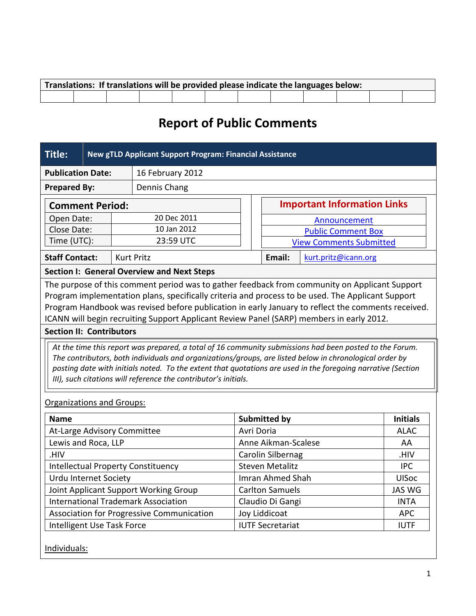| Translations: If translations will be provided please indicate the languages below: |  |  |  |  |  |  |  |  |  |  |  |
|-------------------------------------------------------------------------------------|--|--|--|--|--|--|--|--|--|--|--|
|                                                                                     |  |  |  |  |  |  |  |  |  |  |  |

# **Report of Public Comments**

| <b>Title:</b>                                                                                                                                                                                                                                                                                                                                                                                         |  | New gTLD Applicant Support Program: Financial Assistance |                                                   |  |                                        |                                    |                           |                 |  |  |
|-------------------------------------------------------------------------------------------------------------------------------------------------------------------------------------------------------------------------------------------------------------------------------------------------------------------------------------------------------------------------------------------------------|--|----------------------------------------------------------|---------------------------------------------------|--|----------------------------------------|------------------------------------|---------------------------|-----------------|--|--|
| <b>Publication Date:</b><br>16 February 2012                                                                                                                                                                                                                                                                                                                                                          |  |                                                          |                                                   |  |                                        |                                    |                           |                 |  |  |
| <b>Prepared By:</b><br>Dennis Chang                                                                                                                                                                                                                                                                                                                                                                   |  |                                                          |                                                   |  |                                        |                                    |                           |                 |  |  |
| <b>Comment Period:</b>                                                                                                                                                                                                                                                                                                                                                                                |  |                                                          |                                                   |  |                                        | <b>Important Information Links</b> |                           |                 |  |  |
| Open Date:                                                                                                                                                                                                                                                                                                                                                                                            |  |                                                          | 20 Dec 2011                                       |  |                                        |                                    | Announcement              |                 |  |  |
| Close Date:                                                                                                                                                                                                                                                                                                                                                                                           |  |                                                          | 10 Jan 2012                                       |  |                                        |                                    | <b>Public Comment Box</b> |                 |  |  |
| Time (UTC):                                                                                                                                                                                                                                                                                                                                                                                           |  |                                                          | 23:59 UTC                                         |  |                                        | <b>View Comments Submitted</b>     |                           |                 |  |  |
| <b>Staff Contact:</b>                                                                                                                                                                                                                                                                                                                                                                                 |  |                                                          | <b>Kurt Pritz</b>                                 |  |                                        | Email:<br>kurt.pritz@icann.org     |                           |                 |  |  |
|                                                                                                                                                                                                                                                                                                                                                                                                       |  |                                                          | <b>Section I: General Overview and Next Steps</b> |  |                                        |                                    |                           |                 |  |  |
| The purpose of this comment period was to gather feedback from community on Applicant Support<br>Program implementation plans, specifically criteria and process to be used. The Applicant Support<br>Program Handbook was revised before publication in early January to reflect the comments received.<br>ICANN will begin recruiting Support Applicant Review Panel (SARP) members in early 2012.  |  |                                                          |                                                   |  |                                        |                                    |                           |                 |  |  |
| <b>Section II: Contributors</b>                                                                                                                                                                                                                                                                                                                                                                       |  |                                                          |                                                   |  |                                        |                                    |                           |                 |  |  |
| At the time this report was prepared, a total of 16 community submissions had been posted to the Forum.<br>The contributors, both individuals and organizations/groups, are listed below in chronological order by<br>posting date with initials noted. To the extent that quotations are used in the foregoing narrative (Section<br>III), such citations will reference the contributor's initials. |  |                                                          |                                                   |  |                                        |                                    |                           |                 |  |  |
| <b>Organizations and Groups:</b>                                                                                                                                                                                                                                                                                                                                                                      |  |                                                          |                                                   |  |                                        |                                    |                           |                 |  |  |
| <b>Name</b>                                                                                                                                                                                                                                                                                                                                                                                           |  |                                                          |                                                   |  | <b>Submitted by</b>                    |                                    |                           | <b>Initials</b> |  |  |
| At-Large Advisory Committee                                                                                                                                                                                                                                                                                                                                                                           |  |                                                          |                                                   |  | Avri Doria                             |                                    |                           | <b>ALAC</b>     |  |  |
| Lewis and Roca, LLP                                                                                                                                                                                                                                                                                                                                                                                   |  |                                                          |                                                   |  | Anne Aikman-Scalese                    |                                    |                           | AA              |  |  |
| HIV.                                                                                                                                                                                                                                                                                                                                                                                                  |  |                                                          |                                                   |  | Carolin Silbernag                      |                                    |                           | .HIV            |  |  |
| <b>Intellectual Property Constituency</b>                                                                                                                                                                                                                                                                                                                                                             |  |                                                          |                                                   |  |                                        | <b>Steven Metalitz</b>             | <b>IPC</b>                |                 |  |  |
| Urdu Internet Society                                                                                                                                                                                                                                                                                                                                                                                 |  |                                                          |                                                   |  | Imran Ahmed Shah                       |                                    |                           | <b>UISoc</b>    |  |  |
| Joint Applicant Support Working Group                                                                                                                                                                                                                                                                                                                                                                 |  |                                                          |                                                   |  |                                        | <b>Carlton Samuels</b>             |                           | <b>JAS WG</b>   |  |  |
| <b>International Trademark Association</b>                                                                                                                                                                                                                                                                                                                                                            |  |                                                          |                                                   |  |                                        | Claudio Di Gangi                   | <b>INTA</b>               |                 |  |  |
|                                                                                                                                                                                                                                                                                                                                                                                                       |  |                                                          | Association for Progressive Communication         |  |                                        | Joy Liddicoat                      | <b>APC</b>                |                 |  |  |
| Intelligent Use Task Force                                                                                                                                                                                                                                                                                                                                                                            |  |                                                          |                                                   |  | <b>IUTF Secretariat</b><br><b>IUTF</b> |                                    |                           |                 |  |  |
|                                                                                                                                                                                                                                                                                                                                                                                                       |  |                                                          |                                                   |  |                                        |                                    |                           |                 |  |  |

Individuals: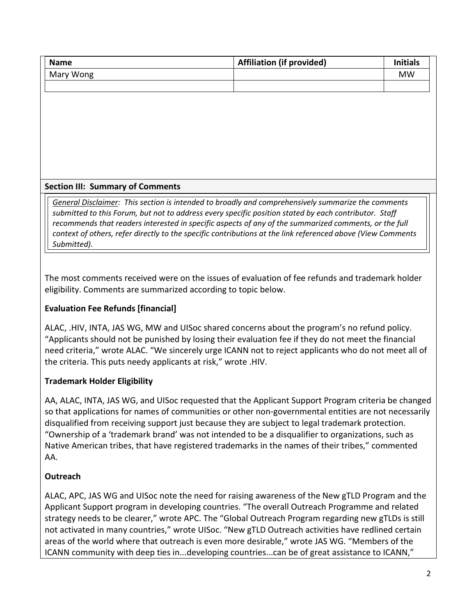| <b>Name</b> | <b>Affiliation (if provided)</b> | <b>Initials</b> |
|-------------|----------------------------------|-----------------|
| Mary Wong   |                                  | MW              |
|             |                                  |                 |

#### **Section III: Summary of Comments**

*General Disclaimer: This section is intended to broadly and comprehensively summarize the comments submitted to this Forum, but not to address every specific position stated by each contributor. Staff recommends that readers interested in specific aspects of any of the summarized comments, or the full context of others, refer directly to the specific contributions at the link referenced above (View Comments Submitted).* 

The most comments received were on the issues of evaluation of fee refunds and trademark holder eligibility. Comments are summarized according to topic below.

#### **Evaluation Fee Refunds [financial]**

ALAC, .HIV, INTA, JAS WG, MW and UISoc shared concerns about the program's no refund policy. "Applicants should not be punished by losing their evaluation fee if they do not meet the financial need criteria," wrote ALAC. "We sincerely urge ICANN not to reject applicants who do not meet all of the criteria. This puts needy applicants at risk," wrote .HIV.

#### **Trademark Holder Eligibility**

AA, ALAC, INTA, JAS WG, and UISoc requested that the Applicant Support Program criteria be changed so that applications for names of communities or other non-governmental entities are not necessarily disqualified from receiving support just because they are subject to legal trademark protection. "Ownership of a 'trademark brand' was not intended to be a disqualifier to organizations, such as Native American tribes, that have registered trademarks in the names of their tribes," commented AA.

#### **Outreach**

ALAC, APC, JAS WG and UISoc note the need for raising awareness of the New gTLD Program and the Applicant Support program in developing countries. "The overall Outreach Programme and related strategy needs to be clearer," wrote APC. The "Global Outreach Program regarding new gTLDs is still not activated in many countries," wrote UISoc. "New gTLD Outreach activities have redlined certain areas of the world where that outreach is even more desirable," wrote JAS WG. "Members of the ICANN community with deep ties in...developing countries...can be of great assistance to ICANN,"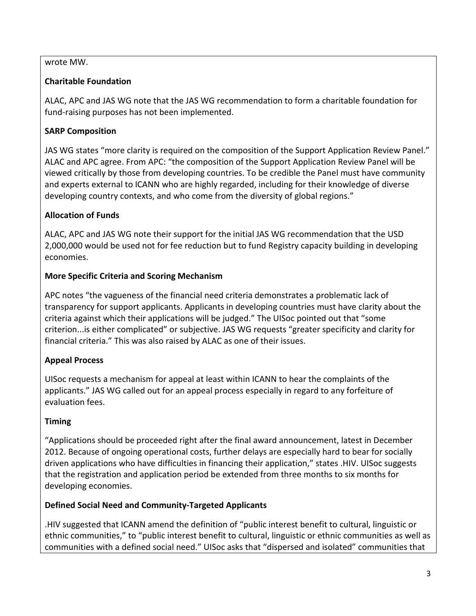#### wrote MW.

#### **Charitable Foundation**

ALAC, APC and JAS WG note that the JAS WG recommendation to form a charitable foundation for fund-raising purposes has not been implemented.

## **SARP Composition**

JAS WG states "more clarity is required on the composition of the Support Application Review Panel." ALAC and APC agree. From APC: "the composition of the Support Application Review Panel will be viewed critically by those from developing countries. To be credible the Panel must have community and experts external to ICANN who are highly regarded, including for their knowledge of diverse developing country contexts, and who come from the diversity of global regions."

# **Allocation of Funds**

ALAC, APC and JAS WG note their support for the initial JAS WG recommendation that the USD 2,000,000 would be used not for fee reduction but to fund Registry capacity building in developing economies.

## **More Specific Criteria and Scoring Mechanism**

APC notes "the vagueness of the financial need criteria demonstrates a problematic lack of transparency for support applicants. Applicants in developing countries must have clarity about the criteria against which their applications will be judged." The UISoc pointed out that "some criterion...is either complicated" or subjective. JAS WG requests "greater specificity and clarity for financial criteria." This was also raised by ALAC as one of their issues.

# **Appeal Process**

UISoc requests a mechanism for appeal at least within ICANN to hear the complaints of the applicants." JAS WG called out for an appeal process especially in regard to any forfeiture of evaluation fees.

# **Timing**

"Applications should be proceeded right after the final award announcement, latest in December 2012. Because of ongoing operational costs, further delays are especially hard to bear for socially driven applications who have difficulties in financing their application," states .HIV. UISoc suggests that the registration and application period be extended from three months to six months for developing economies.

# **Defined Social Need and Community-Targeted Applicants**

.HIV suggested that ICANN amend the definition of "public interest benefit to cultural, linguistic or ethnic communities," to "public interest benefit to cultural, linguistic or ethnic communities as well as communities with a defined social need." UISoc asks that "dispersed and isolated" communities that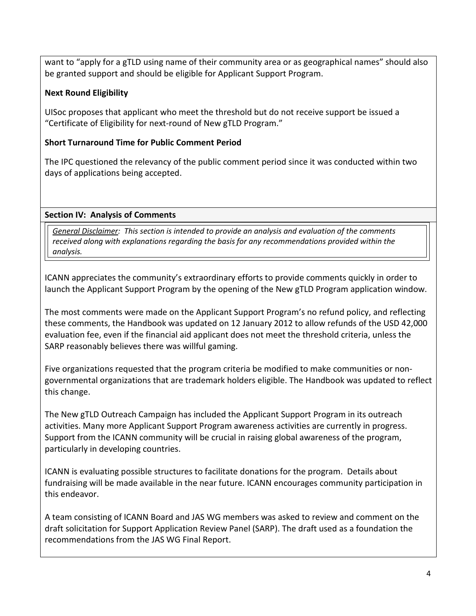want to "apply for a gTLD using name of their community area or as geographical names" should also be granted support and should be eligible for Applicant Support Program.

#### **Next Round Eligibility**

UISoc proposes that applicant who meet the threshold but do not receive support be issued a "Certificate of Eligibility for next-round of New gTLD Program."

## **Short Turnaround Time for Public Comment Period**

The IPC questioned the relevancy of the public comment period since it was conducted within two days of applications being accepted.

## **Section IV: Analysis of Comments**

*General Disclaimer: This section is intended to provide an analysis and evaluation of the comments received along with explanations regarding the basis for any recommendations provided within the analysis.*

ICANN appreciates the community's extraordinary efforts to provide comments quickly in order to launch the Applicant Support Program by the opening of the New gTLD Program application window.

The most comments were made on the Applicant Support Program's no refund policy, and reflecting these comments, the Handbook was updated on 12 January 2012 to allow refunds of the USD 42,000 evaluation fee, even if the financial aid applicant does not meet the threshold criteria, unless the SARP reasonably believes there was willful gaming.

Five organizations requested that the program criteria be modified to make communities or nongovernmental organizations that are trademark holders eligible. The Handbook was updated to reflect this change.

The New gTLD Outreach Campaign has included the Applicant Support Program in its outreach activities. Many more Applicant Support Program awareness activities are currently in progress. Support from the ICANN community will be crucial in raising global awareness of the program, particularly in developing countries.

ICANN is evaluating possible structures to facilitate donations for the program. Details about fundraising will be made available in the near future. ICANN encourages community participation in this endeavor.

A team consisting of ICANN Board and JAS WG members was asked to review and comment on the draft solicitation for Support Application Review Panel (SARP). The draft used as a foundation the recommendations from the JAS WG Final Report.